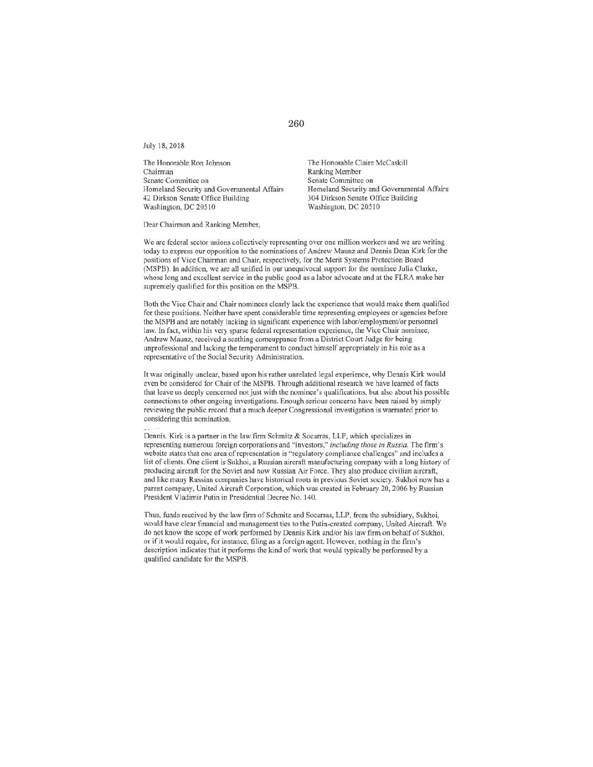July 18,2018

The Honorable Ron Johnson Chairman Senate Committee on Homeland Security and Governmental Affairs 42 Dirkson Senate Office Building Washington, DC 20510

The Honorable Claire McCaskill Ranking Member Senate Committee on Homeland Security and Governmental Affairs 304 Dirkson Senate Office Building Washington, DC 205 10

Dear Chairman and Ranking Member.

We are federal sector unions collectively representing over one million workers and we are writing today to express our opposition to the nominations of Andrew Maunz and Dennis Dean Kirk for the positions of Vice Chairman and Chair, respectively, for the Merit Systems Protection Board (MSPB). **In** addition. we are all unified in our unequivocal support for the nomincc Julia Clarke, whose long and excellent service in the public good as a labor advocate and at the FLRA make her supremely qualified for this position on the MSPB.

Both the Vice Chair and Chair nominees clearly lack the experience that would make them qualified for these positions. Neither have spent considerable time representing employees or agencies before the MSPB and are notably lacking in significant experience with labor/employment/or personnel law. In fact. within his very sparse federal representation experience, the Vice Chair nominee, Andrew Maunz, received a scathing comeuppance from a District Court Judge for being unprofessional and lacking the temperament to conduct himself appropriately in his role as a representative of the Social Security Administration.

It was originally unclear, based upon his rather unrelated legal experience, why Dennis Kirk would even be considered for Chair of the MSPB. Through additional research we have learned of facts that leave us deeply concerned not just with the nominee's qualifications, but also about his possible connections to other ongoing investigations. Enough serious concerns have been raised by simply reviewing the public record that a much deeper Congressional investigation is warranted prior to considering this nomination.

Dennis. Kirk is a partner in the law firm Schmitz & Socarras, LLP, which specializes in representing numerous foreign corporations and "investors," *including rhose in Russia.* The firm's website states that one area of representation is "regulatory compliance challenges" and includes a list of clients. One client is SUkhoi, a Russian aircraft manufacturing company with a long history of producing aircraft for the Soviet and now Russian Air Foree. They also produce civilian aircraft. and like many Russian companies have historical roots in previous Soviet society. Sukhoi now has a parent company, United Aircraft Corporation. whieh was created in February 20. 2006 by Russian President Vladimir Putin in Presidential Decree No. 140.

Thus, funds received by the law firm of Schmitz and Socarras, LLP, from the subsidiary, Sukhoi, would have clear financial and management ties to the Putin-created company, United Aircraft. We do not know the scope of work performed by Dennis Kirk and/or his law firm on behalf of Sukhoi, or if it would require, for instance, filing as a foreign agent. However, nothing in the firm's description indicates that it performs the kind of work that would typically be performed by a qualified candidate for the MSPB.

260